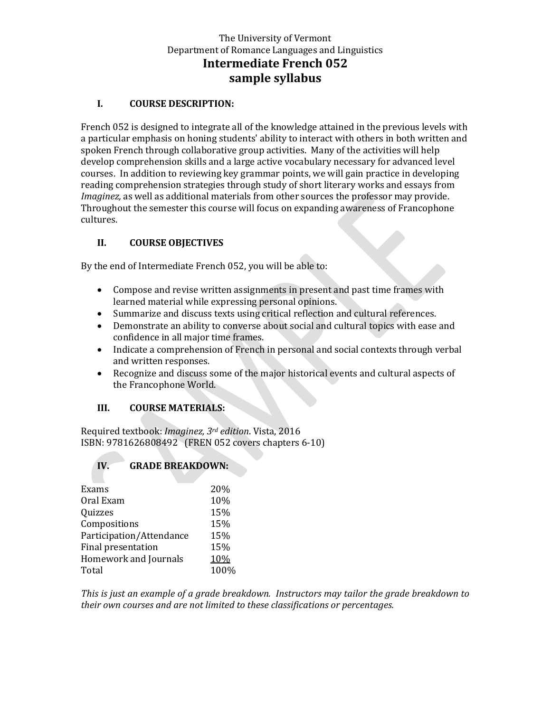# The University of Vermont Department of Romance Languages and Linguistics **Intermediate French 052 sample syllabus**

#### **I. COURSE DESCRIPTION:**

French 052 is designed to integrate all of the knowledge attained in the previous levels with a particular emphasis on honing students' ability to interact with others in both written and spoken French through collaborative group activities. Many of the activities will help develop comprehension skills and a large active vocabulary necessary for advanced level courses. In addition to reviewing key grammar points, we will gain practice in developing reading comprehension strategies through study of short literary works and essays from *Imaginez,* as well as additional materials from other sources the professor may provide. Throughout the semester this course will focus on expanding awareness of Francophone cultures.

### **II. COURSE OBJECTIVES**

By the end of Intermediate French 052, you will be able to:

- Compose and revise written assignments in present and past time frames with learned material while expressing personal opinions.
- Summarize and discuss texts using critical reflection and cultural references.
- Demonstrate an ability to converse about social and cultural topics with ease and confidence in all major time frames.
- Indicate a comprehension of French in personal and social contexts through verbal and written responses.
- Recognize and discuss some of the major historical events and cultural aspects of the Francophone World.

### **III. COURSE MATERIALS:**

Required textbook: *Imaginez, 3rd edition*. Vista, 2016 ISBN: 9781626808492 (FREN 052 covers chapters 6-10)

### **IV. GRADE BREAKDOWN:**

| Exams                        | 20%  |
|------------------------------|------|
| Oral Exam                    | 10%  |
| Quizzes                      | 15%  |
| Compositions                 | 15%  |
| Participation/Attendance     | 15%  |
| Final presentation           | 15%  |
| <b>Homework and Journals</b> | 10%  |
| Total                        | 100% |
|                              |      |

*This is just an example of a grade breakdown. Instructors may tailor the grade breakdown to their own courses and are not limited to these classifications or percentages.*